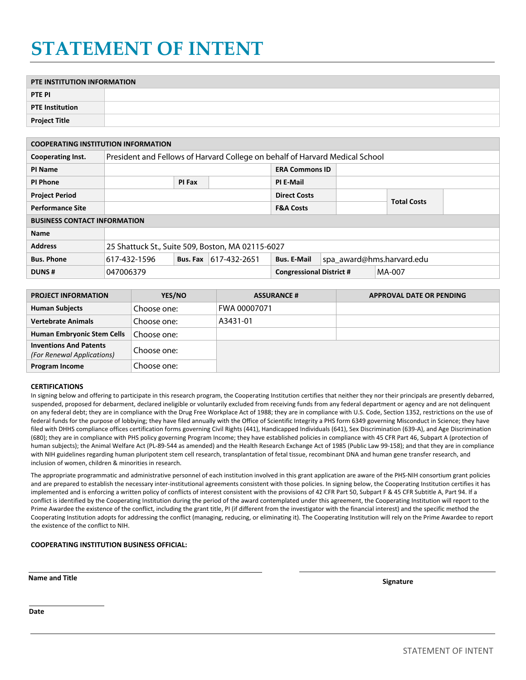## **STATEMENT OF INTENT**

| PTE INSTITUTION INFORMATION |  |  |  |  |  |
|-----------------------------|--|--|--|--|--|
|                             |  |  |  |  |  |
| <b>PTE PI</b>               |  |  |  |  |  |
| <b>PTE Institution</b>      |  |  |  |  |  |
|                             |  |  |  |  |  |
| <b>Project Title</b>        |  |  |  |  |  |

| <b>COOPERATING INSTITUTION INFORMATION</b> |                                                                              |          |                                 |                       |                           |                    |  |  |
|--------------------------------------------|------------------------------------------------------------------------------|----------|---------------------------------|-----------------------|---------------------------|--------------------|--|--|
| Cooperating Inst.                          | President and Fellows of Harvard College on behalf of Harvard Medical School |          |                                 |                       |                           |                    |  |  |
| PI Name                                    |                                                                              |          |                                 | <b>ERA Commons ID</b> |                           |                    |  |  |
| <b>PI Phone</b>                            | PI Fax                                                                       |          |                                 | PI E-Mail             |                           |                    |  |  |
| <b>Project Period</b>                      |                                                                              |          |                                 | <b>Direct Costs</b>   |                           |                    |  |  |
| <b>Performance Site</b>                    |                                                                              |          |                                 | <b>F&amp;A Costs</b>  |                           | <b>Total Costs</b> |  |  |
| <b>BUSINESS CONTACT INFORMATION</b>        |                                                                              |          |                                 |                       |                           |                    |  |  |
| <b>Name</b>                                |                                                                              |          |                                 |                       |                           |                    |  |  |
| <b>Address</b>                             | 25 Shattuck St., Suite 509, Boston, MA 02115-6027                            |          |                                 |                       |                           |                    |  |  |
| <b>Bus. Phone</b>                          | 617-432-1596                                                                 | Bus. Fax | $ 617-432-2651$                 | <b>Bus. E-Mail</b>    | spa_award@hms.harvard.edu |                    |  |  |
| <b>DUNS#</b>                               | 047006379                                                                    |          | <b>Congressional District #</b> |                       | MA-007                    |                    |  |  |

| <b>Bus. Phone</b>                                           |           | 617-432-1596 | Bus. Fax | 617-432-2651       | <b>Bus. E-Mail</b>              | spa_award@hms.harvard.edu |                          |  |  |
|-------------------------------------------------------------|-----------|--------------|----------|--------------------|---------------------------------|---------------------------|--------------------------|--|--|
| <b>DUNS#</b>                                                | 047006379 |              |          |                    | <b>Congressional District #</b> |                           | MA-007                   |  |  |
|                                                             |           |              |          |                    |                                 |                           |                          |  |  |
| <b>PROJECT INFORMATION</b>                                  |           | YES/NO       |          | <b>ASSURANCE #</b> |                                 |                           | APPROVAL DATE OR PENDING |  |  |
| <b>Human Subjects</b>                                       |           | Choose one:  |          |                    | FWA 00007071                    |                           |                          |  |  |
| <b>Vertebrate Animals</b>                                   |           | Choose one:  |          | A3431-01           |                                 |                           |                          |  |  |
| <b>Human Embryonic Stem Cells</b>                           |           | Choose one:  |          |                    |                                 |                           |                          |  |  |
| <b>Inventions And Patents</b><br>(For Renewal Applications) |           | Choose one:  |          |                    |                                 |                           |                          |  |  |
| <b>Program Income</b>                                       |           | Choose one:  |          |                    |                                 |                           |                          |  |  |

## **CERTIFICATIONS**

In signing below and offering to participate in this research program, the Cooperating Institution certifies that neither they nor their principals are presently debarred, on any federal debt; they are in compliance with the Drug Free Workplace Act of 1988; they are in compliance with U.S. Code, Section 1352, restrictions on the use of federal funds for the purpose of lobbying; they have filed annually with the Office of Scientific Integrity a PHS form 6349 governing Misconduct in Science; they have filed with DHHS compliance offices certification forms governing Civil Rights (441), Handicapped Individuals (641), Sex Discrimination (639-A), and Age Discrimination (680); they are in compliance with PHS policy governing Program Income; they have established policies in compliance with 45 CFR Part 46, Subpart A (protection of human subjects); the Animal Welfare Act (PL-89-544 as amended) and the Health Research Exchange Act of 1985 (Public Law 99-158); and that they are in compliance with NIH guidelines regarding human pluripotent stem cell research, transplantation of fetal tissue, recombinant DNA and human gene transfer research, and inclusion of women, children & minorities in research. suspended, proposed for debarment, declared ineligible or voluntarily excluded from receiving funds from any federal department or agency and are not delinquent

The appropriate programmatic and administrative personnel of each institution involved in this grant application are aware of the PHS-NIH consortium grant policies and are prepared to establish the necessary inter-institutional agreements consistent with those policies. In signing below, the Cooperating Institution certifies it has implemented and is enforcing a written policy of conflicts of interest consistent with the provisions of 42 CFR Part 50, Subpart F & 45 CFR Subtitle A, Part 94. If a conflict is identified by the Cooperating Institution during the period of the award contemplated under this agreement, the Cooperating Institution will report to the Prime Awardee the existence of the conflict, including the grant title, PI (if different from the investigator with the financial interest) and the specific method the Cooperating Institution adopts for addressing the conflict (managing, reducing, or eliminating it). The Cooperating Institution will rely on the Prime Awardee to report the existence of the conflict to NIH.

## **COOPERATING INSTITUTION BUSINESS OFFICIAL:**

**Name and Title Signature**

**Date**